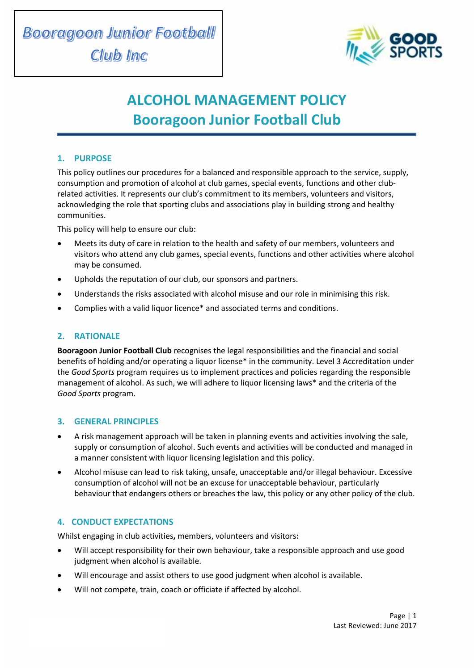

# **ALCOHOL MANAGEMENT POLICY Booragoon Junior Football Club**

## **1. PURPOSE**

This policy outlines our procedures for a balanced and responsible approach to the service, supply, consumption and promotion of alcohol at club games, special events, functions and other clubrelated activities. It represents our club's commitment to its members, volunteers and visitors, acknowledging the role that sporting clubs and associations play in building strong and healthy communities.

This policy will help to ensure our club:

- Meets its duty of care in relation to the health and safety of our members, volunteers and visitors who attend any club games, special events, functions and other activities where alcohol may be consumed.
- Upholds the reputation of our club, our sponsors and partners.
- Understands the risks associated with alcohol misuse and our role in minimising this risk.
- Complies with a valid liquor licence\* and associated terms and conditions.

## **2. RATIONALE**

**Booragoon Junior Football Club** recognises the legal responsibilities and the financial and social benefits of holding and/or operating a liquor license\* in the community. Level 3 Accreditation under the *Good Sports* program requires us to implement practices and policies regarding the responsible management of alcohol. As such, we will adhere to liquor licensing laws\* and the criteria of the *Good Sports* program.

## **3. GENERAL PRINCIPLES**

- A risk management approach will be taken in planning events and activities involving the sale, supply or consumption of alcohol. Such events and activities will be conducted and managed in a manner consistent with liquor licensing legislation and this policy.
- Alcohol misuse can lead to risk taking, unsafe, unacceptable and/or illegal behaviour. Excessive consumption of alcohol will not be an excuse for unacceptable behaviour, particularly behaviour that endangers others or breaches the law, this policy or any other policy of the club.

## **4. CONDUCT EXPECTATIONS**

Whilst engaging in club activities**,** members, volunteers and visitors**:**

- Will accept responsibility for their own behaviour, take a responsible approach and use good judgment when alcohol is available.
- Will encourage and assist others to use good judgment when alcohol is available.
- Will not compete, train, coach or officiate if affected by alcohol.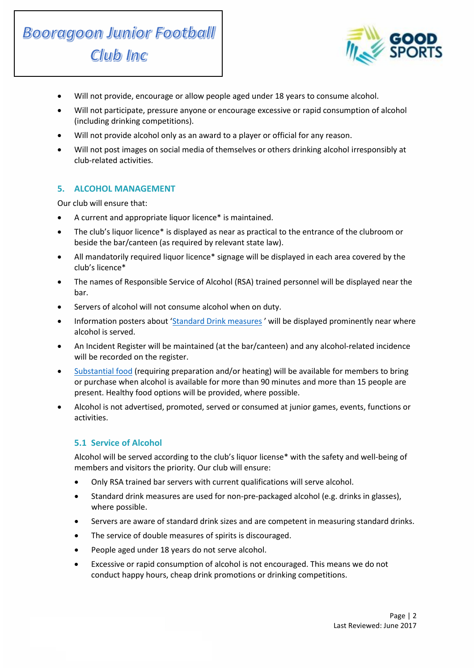



- Will not provide, encourage or allow people aged under 18 years to consume alcohol.
- Will not participate, pressure anyone or encourage excessive or rapid consumption of alcohol (including drinking competitions).
- Will not provide alcohol only as an award to a player or official for any reason.
- Will not post images on social media of themselves or others drinking alcohol irresponsibly at club-related activities.

## **5. ALCOHOL MANAGEMENT**

Our club will ensure that:

- A current and appropriate liquor licence\* is maintained.
- The club's liquor licence\* is displayed as near as practical to the entrance of the clubroom or beside the bar/canteen (as required by relevant state law).
- All mandatorily required liquor licence\* signage will be displayed in each area covered by the club's licence\*
- The names of Responsible Service of Alcohol (RSA) trained personnel will be displayed near the bar.
- Servers of alcohol will not consume alcohol when on duty.
- Information posters about '[Standard Drink measures](file://///ADF-FILE/adf/Community%20Programs/Good%20Sports/MARKETING/Merchandise/Designs/2015/Double%20sided%20accreditation%20poster/ADF112%20Standard%20Drinks%20Poster%20A4%20ART-2_FINAL.pdf)' will be displayed prominently near where alcohol is served.
- An Incident Register will be maintained (at the bar/canteen) and any alcohol-related incidence will be recorded on the register.
- [Substantial food](file:///G:/Community%20Programs/Good%20Sports/Program%20Development%20Team%20-%20Good%20Sports/3.%20Program%20Resource%20Development/Resource%20Review%202016-2017/1.%20National%20Resources/Resource%205%20-%20Substantial%20Food%20Info%20Sheet/gs-substantial-food-information-sheet-20170130-v0.3.docx) (requiring preparation and/or heating) will be available for members to bring or purchase when alcohol is available for more than 90 minutes and more than 15 people are present. Healthy food options will be provided, where possible.
- Alcohol is not advertised, promoted, served or consumed at junior games, events, functions or activities.

## **5.1 Service of Alcohol**

Alcohol will be served according to the club's liquor license\* with the safety and well-being of members and visitors the priority. Our club will ensure:

- Only RSA trained bar servers with current qualifications will serve alcohol.
- Standard drink measures are used for non-pre-packaged alcohol (e.g. drinks in glasses), where possible.
- Servers are aware of standard drink sizes and are competent in measuring standard drinks.
- The service of double measures of spirits is discouraged.
- People aged under 18 years do not serve alcohol.
- Excessive or rapid consumption of alcohol is not encouraged. This means we do not conduct happy hours, cheap drink promotions or drinking competitions.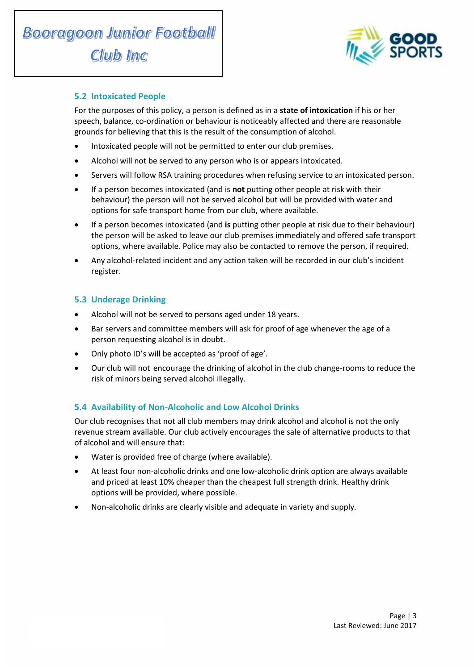

## **5.2 Intoxicated People**

For the purposes of this policy, a person is defined as in a **state of intoxication** if his or her speech, balance, co-ordination or behaviour is noticeably affected and there are reasonable grounds for believing that this is the result of the consumption of alcohol.

- Intoxicated people will not be permitted to enter our club premises.
- Alcohol will not be served to any person who is or appears intoxicated.
- Servers will follow RSA training procedures when refusing service to an intoxicated person.
- If a person becomes intoxicated (and is **not** putting other people at risk with their behaviour) the person will not be served alcohol but will be provided with water and options for safe transport home from our club, where available.
- If a person becomes intoxicated (and **is** putting other people at risk due to their behaviour) the person will be asked to leave our club premises immediately and offered safe transport options, where available. Police may also be contacted to remove the person, if required.
- Any alcohol-related incident and any action taken will be recorded in our club's incident register.

## **5.3 Underage Drinking**

- Alcohol will not be served to persons aged under 18 years.
- Bar servers and committee members will ask for proof of age whenever the age of a person requesting alcohol is in doubt.
- Only photo ID's will be accepted as 'proof of age'.
- Our club will not encourage the drinking of alcohol in the club change-rooms to reduce the risk of minors being served alcohol illegally.

## **5.4 Availability of Non-Alcoholic and Low Alcohol Drinks**

Our club recognises that not all club members may drink alcohol and alcohol is not the only revenue stream available. Our club actively encourages the sale of alternative products to that of alcohol and will ensure that:

- Water is provided free of charge (where available).
- At least four non-alcoholic drinks and one low-alcoholic drink option are always available and priced at least 10% cheaper than the cheapest full strength drink. Healthy drink options will be provided, where possible.
- Non-alcoholic drinks are clearly visible and adequate in variety and supply.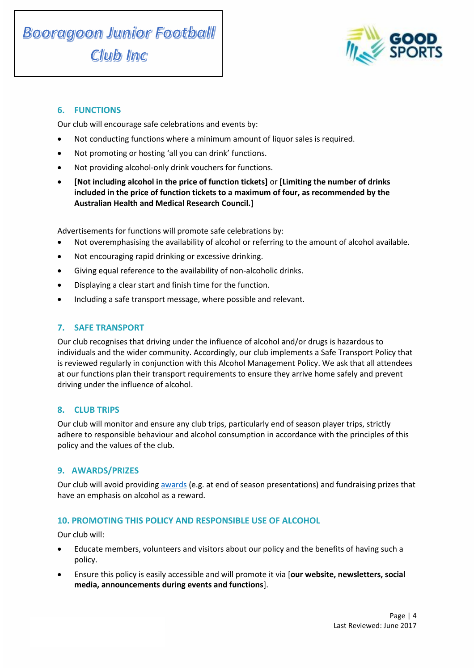

# **6. FUNCTIONS**

Our club will encourage safe celebrations and events by:

- Not conducting functions where a minimum amount of liquor sales is required.
- Not promoting or hosting 'all you can drink' functions.
- Not providing alcohol-only drink vouchers for functions.
- **[Not including alcohol in the price of function tickets]** or **[Limiting the number of drinks included in the price of function tickets to a maximum of four, as recommended by the Australian Health and Medical Research Council.]**

Advertisements for functions will promote safe celebrations by:

- Not overemphasising the availability of alcohol or referring to the amount of alcohol available.
- Not encouraging rapid drinking or excessive drinking.
- Giving equal reference to the availability of non-alcoholic drinks.
- Displaying a clear start and finish time for the function.
- Including a safe transport message, where possible and relevant.

## **7. SAFE TRANSPORT**

Our club recognises that driving under the influence of alcohol and/or drugs is hazardous to individuals and the wider community. Accordingly, our club implements a Safe Transport Policy that is reviewed regularly in conjunction with this Alcohol Management Policy. We ask that all attendees at our functions plan their transport requirements to ensure they arrive home safely and prevent driving under the influence of alcohol.

## **8. CLUB TRIPS**

Our club will monitor and ensure any club trips, particularly end of season player trips, strictly adhere to responsible behaviour and alcohol consumption in accordance with the principles of this policy and the values of the club.

## **9. AWARDS/PRIZES**

Our club will avoid providing [awards](http://goodsports.com.au/resources/alternatives-alcohol-prizes/) (e.g. at end of season presentations) and fundraising prizes that have an emphasis on alcohol as a reward.

## **10. PROMOTING THIS POLICY AND RESPONSIBLE USE OF ALCOHOL**

Our club will:

- Educate members, volunteers and visitors about our policy and the benefits of having such a policy.
- Ensure this policy is easily accessible and will promote it via [**our website, newsletters, social media, announcements during events and functions**].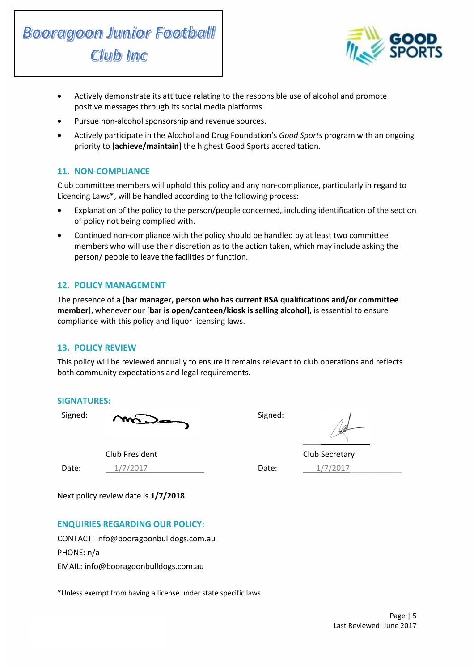



- Actively demonstrate its attitude relating to the responsible use of alcohol and promote positive messages through its social media platforms.
- Pursue non-alcohol sponsorship and revenue sources.
- Actively participate in the Alcohol and Drug Foundation's *Good Sports* program with an ongoing priority to [**achieve/maintain**] the highest Good Sports accreditation.

## **11. NON-COMPLIANCE**

Club committee members will uphold this policy and any non-compliance, particularly in regard to Licencing Laws\*, will be handled according to the following process:

- Explanation of the policy to the person/people concerned, including identification of the section of policy not being complied with.
- Continued non-compliance with the policy should be handled by at least two committee members who will use their discretion as to the action taken, which may include asking the person/ people to leave the facilities or function.

#### **12. POLICY MANAGEMENT**

The presence of a [**bar manager, person who has current RSA qualifications and/or committee member**], whenever our [**bar is open/canteen/kiosk is selling alcohol**], is essential to ensure compliance with this policy and liquor licensing laws.

#### **13. POLICY REVIEW**

This policy will be reviewed annually to ensure it remains relevant to club operations and reflects both community expectations and legal requirements.

#### **SIGNATURES:**

Signed: Signed: Signed:

 $\overline{\phantom{a}}$ 

Club President Club Secretary

Date: \_\_\_\_\_<u>\_\_1/7/2017</u> \_\_\_\_\_\_\_\_\_\_\_\_\_\_\_\_\_\_\_\_\_\_\_\_\_\_\_\_\_\_\_\_\_\_Date: \_\_\_\_\_<u>\_\_1/7/2017</u> \_\_\_\_\_\_\_\_\_\_\_\_\_\_\_\_\_\_\_\_\_\_\_\_\_\_\_\_\_\_\_\_\_\_\_

Next policy review date is **1/7/2018**

## **ENQUIRIES REGARDING OUR POLICY:**

CONTACT: info@booragoonbulldogs.com.au PHONE: n/a EMAIL: info@booragoonbulldogs.com.au

\*Unless exempt from having a license under state specific laws